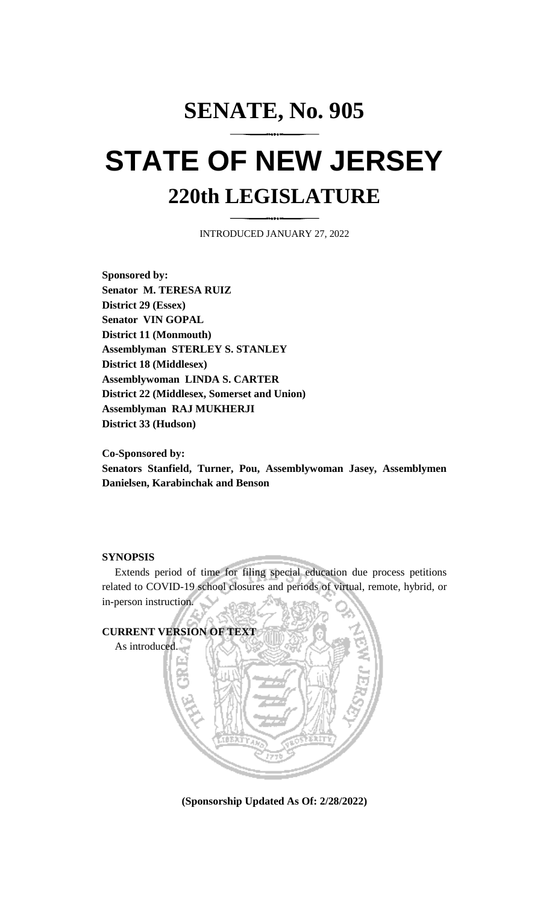## **SENATE, No. 905 STATE OF NEW JERSEY 220th LEGISLATURE**

INTRODUCED JANUARY 27, 2022

**Sponsored by: Senator M. TERESA RUIZ District 29 (Essex) Senator VIN GOPAL District 11 (Monmouth) Assemblyman STERLEY S. STANLEY District 18 (Middlesex) Assemblywoman LINDA S. CARTER District 22 (Middlesex, Somerset and Union) Assemblyman RAJ MUKHERJI District 33 (Hudson)**

**Co-Sponsored by:**

**Senators Stanfield, Turner, Pou, Assemblywoman Jasey, Assemblymen Danielsen, Karabinchak and Benson**

## **SYNOPSIS**

Extends period of time for filing special education due process petitions related to COVID-19 school closures and periods of virtual, remote, hybrid, or in-person instruction.



**(Sponsorship Updated As Of: 2/28/2022)**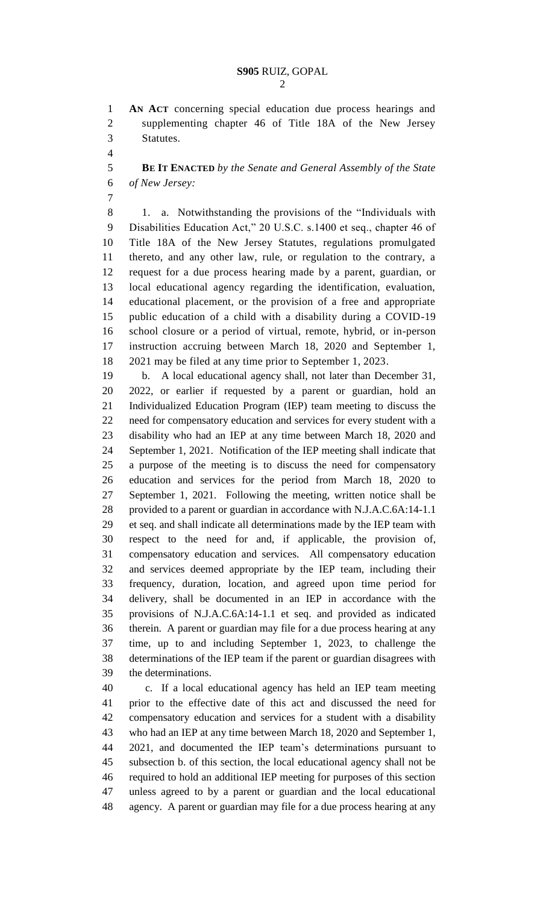**AN ACT** concerning special education due process hearings and supplementing chapter 46 of Title 18A of the New Jersey Statutes.

 **BE IT ENACTED** *by the Senate and General Assembly of the State of New Jersey:*

8 1. a. Notwithstanding the provisions of the "Individuals with Disabilities Education Act," 20 U.S.C. s.1400 et seq., chapter 46 of Title 18A of the New Jersey Statutes, regulations promulgated thereto, and any other law, rule, or regulation to the contrary, a request for a due process hearing made by a parent, guardian, or local educational agency regarding the identification, evaluation, educational placement, or the provision of a free and appropriate public education of a child with a disability during a COVID-19 school closure or a period of virtual, remote, hybrid, or in-person instruction accruing between March 18, 2020 and September 1, 2021 may be filed at any time prior to September 1, 2023.

 b. A local educational agency shall, not later than December 31, 2022, or earlier if requested by a parent or guardian, hold an Individualized Education Program (IEP) team meeting to discuss the need for compensatory education and services for every student with a disability who had an IEP at any time between March 18, 2020 and September 1, 2021. Notification of the IEP meeting shall indicate that a purpose of the meeting is to discuss the need for compensatory education and services for the period from March 18, 2020 to September 1, 2021. Following the meeting, written notice shall be provided to a parent or guardian in accordance with N.J.A.C.6A:14-1.1 et seq. and shall indicate all determinations made by the IEP team with respect to the need for and, if applicable, the provision of, compensatory education and services. All compensatory education and services deemed appropriate by the IEP team, including their frequency, duration, location, and agreed upon time period for delivery, shall be documented in an IEP in accordance with the provisions of N.J.A.C.6A:14-1.1 et seq. and provided as indicated therein. A parent or guardian may file for a due process hearing at any time, up to and including September 1, 2023, to challenge the determinations of the IEP team if the parent or guardian disagrees with the determinations.

 c. If a local educational agency has held an IEP team meeting prior to the effective date of this act and discussed the need for compensatory education and services for a student with a disability who had an IEP at any time between March 18, 2020 and September 1, 2021, and documented the IEP team's determinations pursuant to subsection b. of this section, the local educational agency shall not be required to hold an additional IEP meeting for purposes of this section unless agreed to by a parent or guardian and the local educational agency. A parent or guardian may file for a due process hearing at any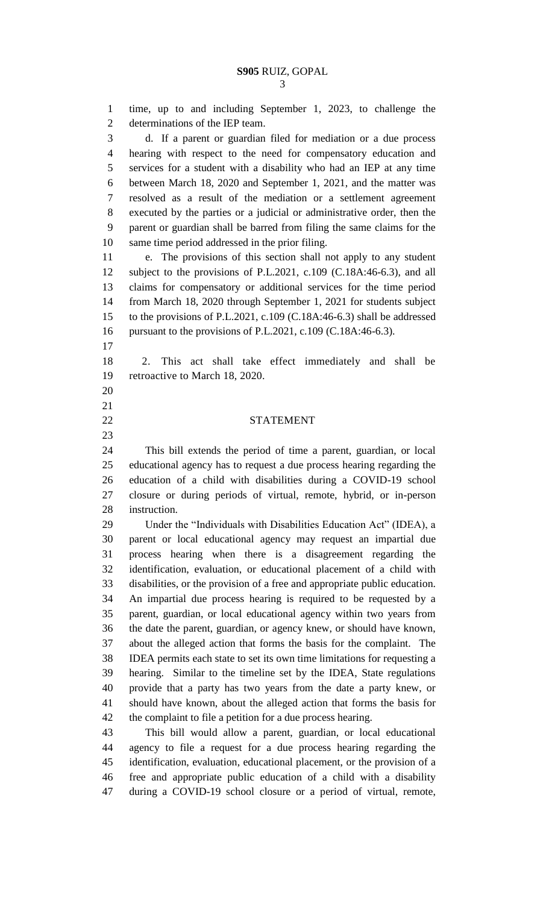time, up to and including September 1, 2023, to challenge the determinations of the IEP team. d. If a parent or guardian filed for mediation or a due process hearing with respect to the need for compensatory education and services for a student with a disability who had an IEP at any time between March 18, 2020 and September 1, 2021, and the matter was resolved as a result of the mediation or a settlement agreement executed by the parties or a judicial or administrative order, then the parent or guardian shall be barred from filing the same claims for the same time period addressed in the prior filing. e. The provisions of this section shall not apply to any student subject to the provisions of P.L.2021, c.109 (C.18A:46-6.3), and all claims for compensatory or additional services for the time period from March 18, 2020 through September 1, 2021 for students subject to the provisions of P.L.2021, c.109 (C.18A:46-6.3) shall be addressed pursuant to the provisions of P.L.2021, c.109 (C.18A:46-6.3). 2. This act shall take effect immediately and shall be retroactive to March 18, 2020. STATEMENT This bill extends the period of time a parent, guardian, or local educational agency has to request a due process hearing regarding the education of a child with disabilities during a COVID-19 school closure or during periods of virtual, remote, hybrid, or in-person instruction. 29 Under the "Individuals with Disabilities Education Act" (IDEA), a parent or local educational agency may request an impartial due process hearing when there is a disagreement regarding the identification, evaluation, or educational placement of a child with disabilities, or the provision of a free and appropriate public education. An impartial due process hearing is required to be requested by a parent, guardian, or local educational agency within two years from the date the parent, guardian, or agency knew, or should have known, about the alleged action that forms the basis for the complaint. The IDEA permits each state to set its own time limitations for requesting a hearing. Similar to the timeline set by the IDEA, State regulations provide that a party has two years from the date a party knew, or should have known, about the alleged action that forms the basis for the complaint to file a petition for a due process hearing. This bill would allow a parent, guardian, or local educational agency to file a request for a due process hearing regarding the identification, evaluation, educational placement, or the provision of a free and appropriate public education of a child with a disability

during a COVID-19 school closure or a period of virtual, remote,

- 
- 
- 
-